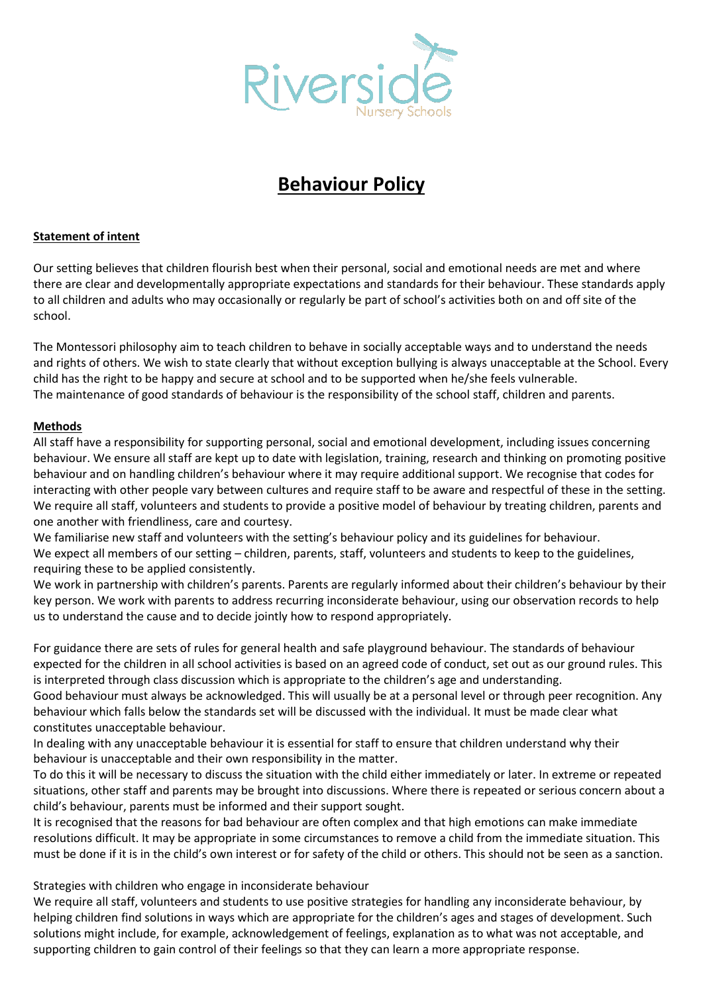

# **Behaviour Policy**

## **Statement of intent**

Our setting believes that children flourish best when their personal, social and emotional needs are met and where there are clear and developmentally appropriate expectations and standards for their behaviour. These standards apply to all children and adults who may occasionally or regularly be part of school's activities both on and off site of the school.

The Montessori philosophy aim to teach children to behave in socially acceptable ways and to understand the needs and rights of others. We wish to state clearly that without exception bullying is always unacceptable at the School. Every child has the right to be happy and secure at school and to be supported when he/she feels vulnerable. The maintenance of good standards of behaviour is the responsibility of the school staff, children and parents.

#### **Methods**

All staff have a responsibility for supporting personal, social and emotional development, including issues concerning behaviour. We ensure all staff are kept up to date with legislation, training, research and thinking on promoting positive behaviour and on handling children's behaviour where it may require additional support. We recognise that codes for interacting with other people vary between cultures and require staff to be aware and respectful of these in the setting. We require all staff, volunteers and students to provide a positive model of behaviour by treating children, parents and one another with friendliness, care and courtesy.

We familiarise new staff and volunteers with the setting's behaviour policy and its guidelines for behaviour. We expect all members of our setting – children, parents, staff, volunteers and students to keep to the guidelines, requiring these to be applied consistently.

We work in partnership with children's parents. Parents are regularly informed about their children's behaviour by their key person. We work with parents to address recurring inconsiderate behaviour, using our observation records to help us to understand the cause and to decide jointly how to respond appropriately.

For guidance there are sets of rules for general health and safe playground behaviour. The standards of behaviour expected for the children in all school activities is based on an agreed code of conduct, set out as our ground rules. This is interpreted through class discussion which is appropriate to the children's age and understanding.

Good behaviour must always be acknowledged. This will usually be at a personal level or through peer recognition. Any behaviour which falls below the standards set will be discussed with the individual. It must be made clear what constitutes unacceptable behaviour.

In dealing with any unacceptable behaviour it is essential for staff to ensure that children understand why their behaviour is unacceptable and their own responsibility in the matter.

To do this it will be necessary to discuss the situation with the child either immediately or later. In extreme or repeated situations, other staff and parents may be brought into discussions. Where there is repeated or serious concern about a child's behaviour, parents must be informed and their support sought.

It is recognised that the reasons for bad behaviour are often complex and that high emotions can make immediate resolutions difficult. It may be appropriate in some circumstances to remove a child from the immediate situation. This must be done if it is in the child's own interest or for safety of the child or others. This should not be seen as a sanction.

Strategies with children who engage in inconsiderate behaviour

We require all staff, volunteers and students to use positive strategies for handling any inconsiderate behaviour, by helping children find solutions in ways which are appropriate for the children's ages and stages of development. Such solutions might include, for example, acknowledgement of feelings, explanation as to what was not acceptable, and supporting children to gain control of their feelings so that they can learn a more appropriate response.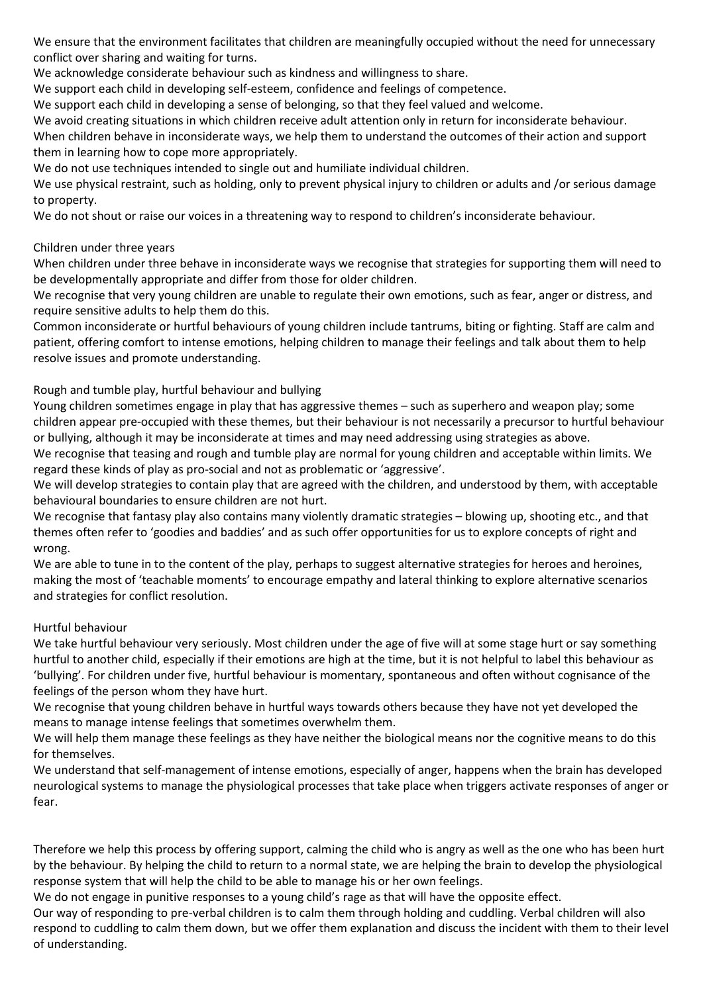We ensure that the environment facilitates that children are meaningfully occupied without the need for unnecessary conflict over sharing and waiting for turns.

We acknowledge considerate behaviour such as kindness and willingness to share.

We support each child in developing self-esteem, confidence and feelings of competence.

We support each child in developing a sense of belonging, so that they feel valued and welcome.

We avoid creating situations in which children receive adult attention only in return for inconsiderate behaviour.

When children behave in inconsiderate ways, we help them to understand the outcomes of their action and support them in learning how to cope more appropriately.

We do not use techniques intended to single out and humiliate individual children.

We use physical restraint, such as holding, only to prevent physical injury to children or adults and /or serious damage to property.

We do not shout or raise our voices in a threatening way to respond to children's inconsiderate behaviour.

## Children under three years

When children under three behave in inconsiderate ways we recognise that strategies for supporting them will need to be developmentally appropriate and differ from those for older children.

We recognise that very young children are unable to regulate their own emotions, such as fear, anger or distress, and require sensitive adults to help them do this.

Common inconsiderate or hurtful behaviours of young children include tantrums, biting or fighting. Staff are calm and patient, offering comfort to intense emotions, helping children to manage their feelings and talk about them to help resolve issues and promote understanding.

# Rough and tumble play, hurtful behaviour and bullying

Young children sometimes engage in play that has aggressive themes – such as superhero and weapon play; some children appear pre-occupied with these themes, but their behaviour is not necessarily a precursor to hurtful behaviour or bullying, although it may be inconsiderate at times and may need addressing using strategies as above.

We recognise that teasing and rough and tumble play are normal for young children and acceptable within limits. We regard these kinds of play as pro-social and not as problematic or 'aggressive'.

We will develop strategies to contain play that are agreed with the children, and understood by them, with acceptable behavioural boundaries to ensure children are not hurt.

We recognise that fantasy play also contains many violently dramatic strategies – blowing up, shooting etc., and that themes often refer to 'goodies and baddies' and as such offer opportunities for us to explore concepts of right and wrong.

We are able to tune in to the content of the play, perhaps to suggest alternative strategies for heroes and heroines, making the most of 'teachable moments' to encourage empathy and lateral thinking to explore alternative scenarios and strategies for conflict resolution.

### Hurtful behaviour

We take hurtful behaviour very seriously. Most children under the age of five will at some stage hurt or say something hurtful to another child, especially if their emotions are high at the time, but it is not helpful to label this behaviour as 'bullying'. For children under five, hurtful behaviour is momentary, spontaneous and often without cognisance of the feelings of the person whom they have hurt.

We recognise that young children behave in hurtful ways towards others because they have not yet developed the means to manage intense feelings that sometimes overwhelm them.

We will help them manage these feelings as they have neither the biological means nor the cognitive means to do this for themselves.

We understand that self-management of intense emotions, especially of anger, happens when the brain has developed neurological systems to manage the physiological processes that take place when triggers activate responses of anger or fear.

Therefore we help this process by offering support, calming the child who is angry as well as the one who has been hurt by the behaviour. By helping the child to return to a normal state, we are helping the brain to develop the physiological response system that will help the child to be able to manage his or her own feelings.

We do not engage in punitive responses to a young child's rage as that will have the opposite effect.

Our way of responding to pre-verbal children is to calm them through holding and cuddling. Verbal children will also respond to cuddling to calm them down, but we offer them explanation and discuss the incident with them to their level of understanding.